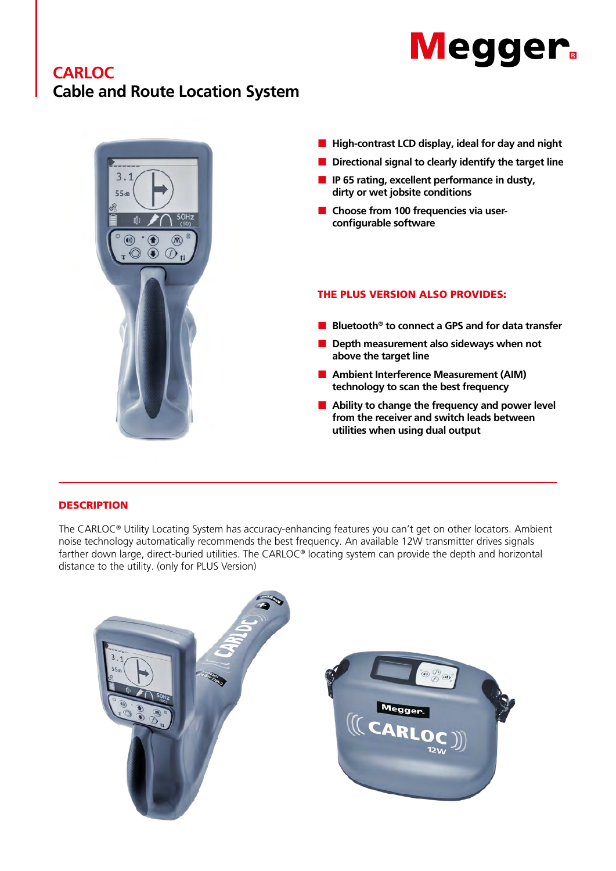# **CARLOC Cable and Route Location System**





**utilities when using dual output**

#### **DESCRIPTION**

The CARLOC® Utility Locating System has accuracy-enhancing features you can't get on other locators. Ambient noise technology automatically recommends the best frequency. An available 12W transmitter drives signals farther down large, direct-buried utilities. The CARLOC® locating system can provide the depth and horizontal distance to the utility. (only for PLUS Version)

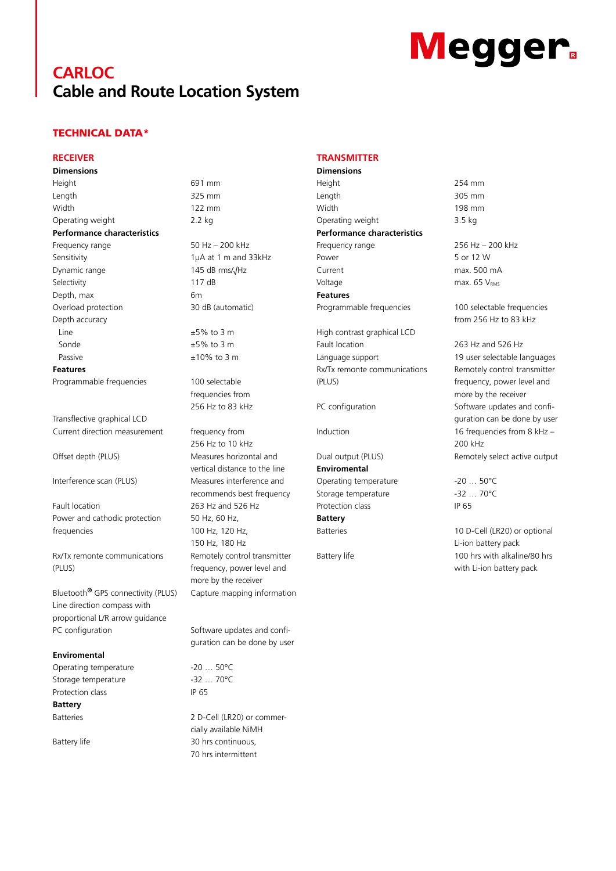# **CARLOC Cable and Route Location System**

### TECHNICAL DATA\*

#### **RECEIVER**

**Dimensions** Height 691 mm Length 325 mm Width 122 mm

Operating weight 2.2 kg **Performance characteristics**

Frequency range 50 Hz – 200 kHz Dynamic range 145 dB rms/√Hz Selectivity 117 dB Depth, max 6m Overload protection 30 dB (automatic) Depth accuracy  $\pm 5\%$  to 3 m Sonde  $\pm 5\%$  to 3 m Passive  $\pm 10\%$  to 3 m **Features**

Programmable frequencies 100 selectable

Transflective graphical LCD Current direction measurement frequency from

Fault location 263 Hz and 526 Hz Power and cathodic protection frequencies

Rx/Tx remonte communications  $(PIUS)$ 

Bluetooth**®** GPS connectivity (PLUS) Capture mapping information Line direction compass with proportional L/R arrow guidance PC configuration Software updates and confi-

#### **Enviromental**

Operating temperature -20 ... 50°C Storage temperature -32 ... 70°C Protection class IP 65 **Battery**

Sensitivity 1μA at 1 m and 33kHz

frequencies from 256 Hz to 83 kHz

256 Hz to 10 kHz Offset depth (PLUS) Measures horizontal and vertical distance to the line Interference scan (PLUS) Measures interference and recommends best frequency 50 Hz, 60 Hz, 100 Hz, 120 Hz, 150 Hz, 180 Hz Remotely control transmitter frequency, power level and more by the receiver

guration can be done by user

Batteries 2 D-Cell (LR20) or commercially available NiMH Battery life 30 hrs continuous, 70 hrs intermittent

#### **TRANSMITTER**

**Dimensions** Height 254 mm Length 305 mm Width 198 mm Operating weight 3.5 kg **Performance characteristics** Frequency range 256 Hz – 200 kHz Power 5 or 12 W

Current max. 500 mA Voltage max.  $65 V<sub>RMS</sub>$ **Features**

High contrast graphical LCD Fault location 263 Hz and 526 Hz Language support 19 user selectable languages Rx/Tx remonte communications  $(PIIIS)$ 

**Enviromental** Operating temperature -20 ... 50°C Storage temperature -32 ... 70°C Protection class **IP 65 Battery**

Programmable frequencies 100 selectable frequencies from 256 Hz to 83 kHz

Remotely control transmitter frequency, power level and more by the receiver PC configuration Software updates and configuration can be done by user Induction 16 frequencies from 8 kHz – 200 kHz Dual output (PLUS) Remotely select active output

Batteries 10 D-Cell (LR20) or optional Li-ion battery pack Battery life 100 hrs with alkaline/80 hrs with Li-ion battery pack

# **Megger**